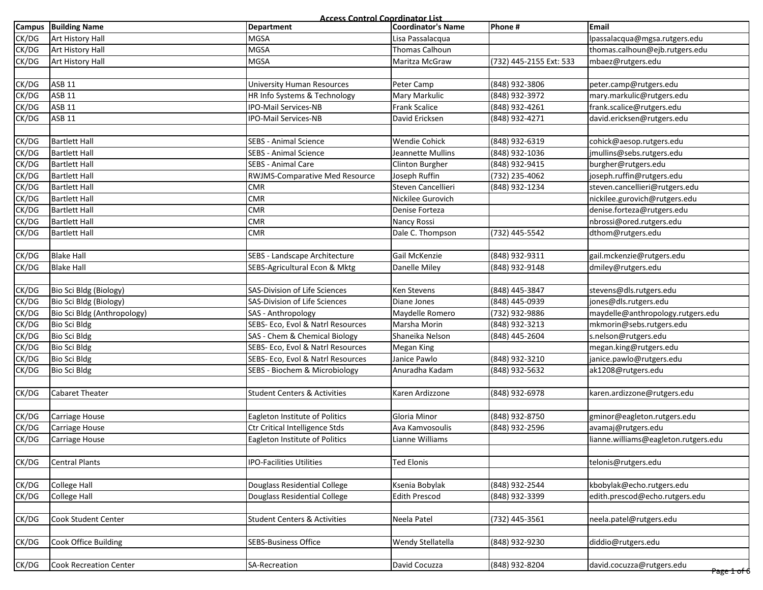|               | <b>Access Control Coordinator List</b> |                                         |                           |                         |                                      |  |  |
|---------------|----------------------------------------|-----------------------------------------|---------------------------|-------------------------|--------------------------------------|--|--|
| <b>Campus</b> | <b>Building Name</b>                   | <b>Department</b>                       | <b>Coordinator's Name</b> | Phone #                 | <b>Email</b>                         |  |  |
| CK/DG         | Art History Hall                       | <b>MGSA</b>                             | Lisa Passalacqua          |                         | lpassalacqua@mgsa.rutgers.edu        |  |  |
| CK/DG         | <b>Art History Hall</b>                | <b>MGSA</b>                             | Thomas Calhoun            |                         | thomas.calhoun@ejb.rutgers.edu       |  |  |
| CK/DG         | <b>Art History Hall</b>                | <b>MGSA</b>                             | Maritza McGraw            | (732) 445-2155 Ext: 533 | mbaez@rutgers.edu                    |  |  |
|               |                                        |                                         |                           |                         |                                      |  |  |
| CK/DG         | <b>ASB 11</b>                          | <b>University Human Resources</b>       | Peter Camp                | (848) 932-3806          | peter.camp@rutgers.edu               |  |  |
| CK/DG         | <b>ASB 11</b>                          | HR Info Systems & Technology            | Mary Markulic             | (848) 932-3972          | mary.markulic@rutgers.edu            |  |  |
| CK/DG         | <b>ASB 11</b>                          | IPO-Mail Services-NB                    | Frank Scalice             | (848) 932-4261          | frank.scalice@rutgers.edu            |  |  |
| CK/DG         | <b>ASB 11</b>                          | IPO-Mail Services-NB                    | David Ericksen            | (848) 932-4271          | david.ericksen@rutgers.edu           |  |  |
|               |                                        |                                         |                           |                         |                                      |  |  |
| CK/DG         | <b>Bartlett Hall</b>                   | <b>SEBS - Animal Science</b>            | <b>Wendie Cohick</b>      | (848) 932-6319          | cohick@aesop.rutgers.edu             |  |  |
| CK/DG         | <b>Bartlett Hall</b>                   | SEBS - Animal Science                   | Jeannette Mullins         | (848) 932-1036          | jmullins@sebs.rutgers.edu            |  |  |
| CK/DG         | <b>Bartlett Hall</b>                   | SEBS - Animal Care                      | Clinton Burgher           | (848) 932-9415          | burgher@rutgers.edu                  |  |  |
| CK/DG         | <b>Bartlett Hall</b>                   | <b>RWJMS-Comparative Med Resource</b>   | Joseph Ruffin             | (732) 235-4062          | joseph.ruffin@rutgers.edu            |  |  |
| CK/DG         | <b>Bartlett Hall</b>                   | <b>CMR</b>                              | Steven Cancellieri        | (848) 932-1234          | steven.cancellieri@rutgers.edu       |  |  |
| CK/DG         | <b>Bartlett Hall</b>                   | <b>CMR</b>                              | Nickilee Gurovich         |                         | nickilee.gurovich@rutgers.edu        |  |  |
| CK/DG         | <b>Bartlett Hall</b>                   | <b>CMR</b>                              | Denise Forteza            |                         | denise.forteza@rutgers.edu           |  |  |
| CK/DG         | <b>Bartlett Hall</b>                   | <b>CMR</b>                              | Nancy Rossi               |                         | nbrossi@ored.rutgers.edu             |  |  |
| CK/DG         | <b>Bartlett Hall</b>                   | <b>CMR</b>                              | Dale C. Thompson          | (732) 445-5542          | dthom@rutgers.edu                    |  |  |
|               |                                        |                                         |                           |                         |                                      |  |  |
| CK/DG         | <b>Blake Hall</b>                      | SEBS - Landscape Architecture           | Gail McKenzie             | (848) 932-9311          | gail.mckenzie@rutgers.edu            |  |  |
| CK/DG         | <b>Blake Hall</b>                      | SEBS-Agricultural Econ & Mktg           | Danelle Miley             | (848) 932-9148          | dmiley@rutgers.edu                   |  |  |
|               |                                        |                                         |                           |                         |                                      |  |  |
| CK/DG         | Bio Sci Bldg (Biology)                 | SAS-Division of Life Sciences           | Ken Stevens               | (848) 445-3847          | stevens@dls.rutgers.edu              |  |  |
| CK/DG         | Bio Sci Bldg (Biology)                 | SAS-Division of Life Sciences           | Diane Jones               | (848) 445-0939          | jones@dls.rutgers.edu                |  |  |
| CK/DG         | Bio Sci Bldg (Anthropology)            | SAS - Anthropology                      | Maydelle Romero           | (732) 932-9886          | maydelle@anthropology.rutgers.edu    |  |  |
| CK/DG         | <b>Bio Sci Bldg</b>                    | SEBS- Eco, Evol & Natrl Resources       | Marsha Morin              | (848) 932-3213          | mkmorin@sebs.rutgers.edu             |  |  |
| CK/DG         | <b>Bio Sci Bldg</b>                    | SAS - Chem & Chemical Biology           | Shaneika Nelson           | (848) 445-2604          | s.nelson@rutgers.edu                 |  |  |
| CK/DG         | <b>Bio Sci Bldg</b>                    | SEBS- Eco, Evol & Natrl Resources       | Megan King                |                         | megan.king@rutgers.edu               |  |  |
| CK/DG         | <b>Bio Sci Bldg</b>                    | SEBS- Eco, Evol & Natrl Resources       | Janice Pawlo              | (848) 932-3210          | janice.pawlo@rutgers.edu             |  |  |
| CK/DG         | <b>Bio Sci Bldg</b>                    | SEBS - Biochem & Microbiology           | Anuradha Kadam            | (848) 932-5632          | ak1208@rutgers.edu                   |  |  |
|               |                                        |                                         |                           |                         |                                      |  |  |
| CK/DG         | <b>Cabaret Theater</b>                 | <b>Student Centers &amp; Activities</b> | Karen Ardizzone           | (848) 932-6978          | karen.ardizzone@rutgers.edu          |  |  |
|               |                                        |                                         |                           |                         |                                      |  |  |
| CK/DG         | Carriage House                         | Eagleton Institute of Politics          | Gloria Minor              | (848) 932-8750          | gminor@eagleton.rutgers.edu          |  |  |
| CK/DG         | Carriage House                         | <b>Ctr Critical Intelligence Stds</b>   | Ava Kamvosoulis           | (848) 932-2596          | avamaj@rutgers.edu                   |  |  |
| CK/DG         | <b>Carriage House</b>                  | Eagleton Institute of Politics          | Lianne Williams           |                         | lianne.williams@eagleton.rutgers.edu |  |  |
|               |                                        |                                         |                           |                         |                                      |  |  |
| CK/DG         | <b>Central Plants</b>                  | <b>IPO-Facilities Utilities</b>         | <b>Ted Elonis</b>         |                         | telonis@rutgers.edu                  |  |  |
|               |                                        |                                         |                           |                         |                                      |  |  |
| CK/DG         | <b>College Hall</b>                    | Douglass Residential College            | Ksenia Bobylak            | (848) 932-2544          | kbobylak@echo.rutgers.edu            |  |  |
| CK/DG         | <b>College Hall</b>                    | Douglass Residential College            | <b>Edith Prescod</b>      | (848) 932-3399          | edith.prescod@echo.rutgers.edu       |  |  |
|               |                                        |                                         |                           |                         |                                      |  |  |
| CK/DG         | <b>Cook Student Center</b>             | <b>Student Centers &amp; Activities</b> | Neela Patel               | (732) 445-3561          | neela.patel@rutgers.edu              |  |  |
|               |                                        |                                         |                           |                         |                                      |  |  |
| CK/DG         | Cook Office Building                   | <b>SEBS-Business Office</b>             | Wendy Stellatella         | (848) 932-9230          | diddio@rutgers.edu                   |  |  |
|               |                                        |                                         |                           |                         |                                      |  |  |
| CK/DG         | <b>Cook Recreation Center</b>          | SA-Recreation                           | David Cocuzza             | (848) 932-8204          | david.cocuzza@rutgers.edu            |  |  |
|               |                                        |                                         |                           |                         | <del>Page 1 of 6</del>               |  |  |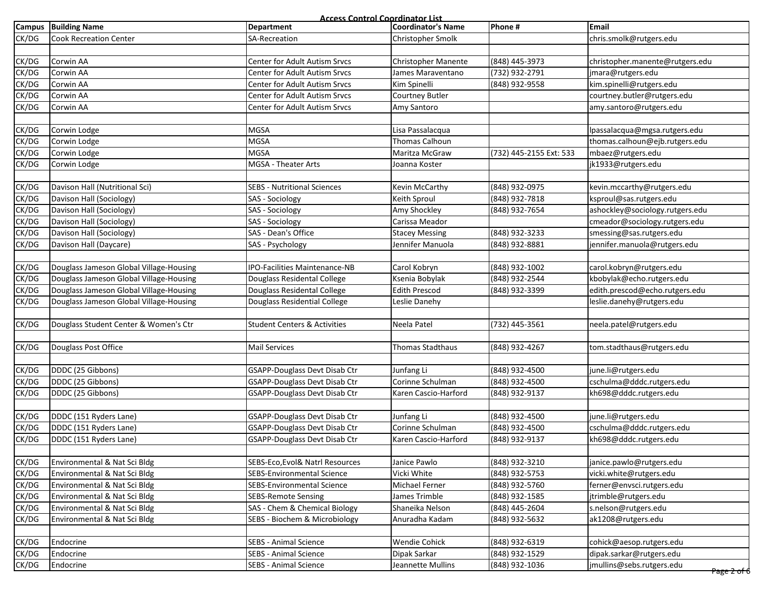**Access Control Coordinator List**

|       | <b>Campus</b> Building Name             | ess commune<br>Department               | <u> Aunatur List</u><br><b>Coordinator's Name</b> | Phone #                 | <b>Email</b>                                        |
|-------|-----------------------------------------|-----------------------------------------|---------------------------------------------------|-------------------------|-----------------------------------------------------|
| CK/DG | <b>Cook Recreation Center</b>           | SA-Recreation                           | Christopher Smolk                                 |                         | chris.smolk@rutgers.edu                             |
|       |                                         |                                         |                                                   |                         |                                                     |
| CK/DG | Corwin AA                               | Center for Adult Autism Srvcs           | Christopher Manente                               | (848) 445-3973          | christopher.manente@rutgers.edu                     |
| CK/DG | Corwin AA                               | Center for Adult Autism Srvcs           | James Maraventano                                 | (732) 932-2791          | jmara@rutgers.edu                                   |
| CK/DG | Corwin AA                               | Center for Adult Autism Srvcs           | Kim Spinelli                                      | (848) 932-9558          | kim.spinelli@rutgers.edu                            |
| CK/DG | Corwin AA                               | Center for Adult Autism Srvcs           | Courtney Butler                                   |                         | courtney.butler@rutgers.edu                         |
| CK/DG | Corwin AA                               | Center for Adult Autism Srvcs           | Amy Santoro                                       |                         | amy.santoro@rutgers.edu                             |
|       |                                         |                                         |                                                   |                         |                                                     |
| CK/DG | Corwin Lodge                            | <b>MGSA</b>                             | Lisa Passalacqua                                  |                         | lpassalacqua@mgsa.rutgers.edu                       |
| CK/DG | Corwin Lodge                            | <b>MGSA</b>                             | Thomas Calhoun                                    |                         | thomas.calhoun@ejb.rutgers.edu                      |
| CK/DG | Corwin Lodge                            | <b>MGSA</b>                             | Maritza McGraw                                    | (732) 445-2155 Ext: 533 | mbaez@rutgers.edu                                   |
| CK/DG | Corwin Lodge                            | MGSA - Theater Arts                     | Joanna Koster                                     |                         | jk1933@rutgers.edu                                  |
|       |                                         |                                         |                                                   |                         |                                                     |
| CK/DG | Davison Hall (Nutritional Sci)          | <b>SEBS - Nutritional Sciences</b>      | Kevin McCarthy                                    | (848) 932-0975          | kevin.mccarthy@rutgers.edu                          |
| CK/DG | Davison Hall (Sociology)                | SAS - Sociology                         | Keith Sproul                                      | (848) 932-7818          | ksproul@sas.rutgers.edu                             |
| CK/DG | Davison Hall (Sociology)                | SAS - Sociology                         | Amy Shockley                                      | (848) 932-7654          | ashockley@sociology.rutgers.edu                     |
| CK/DG | Davison Hall (Sociology)                | SAS - Sociology                         | Carissa Meador                                    |                         | cmeador@sociology.rutgers.edu                       |
| CK/DG | Davison Hall (Sociology)                | SAS - Dean's Office                     | <b>Stacey Messing</b>                             | (848) 932-3233          | smessing@sas.rutgers.edu                            |
| CK/DG | Davison Hall (Daycare)                  | SAS - Psychology                        | Jennifer Manuola                                  | (848) 932-8881          | jennifer.manuola@rutgers.edu                        |
|       |                                         |                                         |                                                   |                         |                                                     |
| CK/DG | Douglass Jameson Global Village-Housing | IPO-Facilities Maintenance-NB           | Carol Kobryn                                      | (848) 932-1002          | carol.kobryn@rutgers.edu                            |
| CK/DG | Douglass Jameson Global Village-Housing | Douglass Residental College             | Ksenia Bobylak                                    | (848) 932-2544          | kbobylak@echo.rutgers.edu                           |
| CK/DG | Douglass Jameson Global Village-Housing | Douglass Residental College             | <b>Edith Prescod</b>                              | (848) 932-3399          | edith.prescod@echo.rutgers.edu                      |
| CK/DG | Douglass Jameson Global Village-Housing | Douglass Residential College            | Leslie Danehy                                     |                         | leslie.danehy@rutgers.edu                           |
|       |                                         |                                         |                                                   |                         |                                                     |
| CK/DG | Douglass Student Center & Women's Ctr   | <b>Student Centers &amp; Activities</b> | Neela Patel                                       | (732) 445-3561          | neela.patel@rutgers.edu                             |
|       |                                         |                                         |                                                   |                         |                                                     |
| CK/DG | Douglass Post Office                    | <b>Mail Services</b>                    | Thomas Stadthaus                                  | (848) 932-4267          | tom.stadthaus@rutgers.edu                           |
|       |                                         |                                         |                                                   |                         |                                                     |
| CK/DG | DDDC (25 Gibbons)                       | GSAPP-Douglass Devt Disab Ctr           | Junfang Li                                        | (848) 932-4500          | june.li@rutgers.edu                                 |
| CK/DG | DDDC (25 Gibbons)                       | <b>GSAPP-Douglass Devt Disab Ctr</b>    | Corinne Schulman                                  | (848) 932-4500          | cschulma@dddc.rutgers.edu                           |
| CK/DG | DDDC (25 Gibbons)                       | GSAPP-Douglass Devt Disab Ctr           | Karen Cascio-Harford                              | (848) 932-9137          | kh698@dddc.rutgers.edu                              |
|       |                                         |                                         |                                                   |                         |                                                     |
| CK/DG | DDDC (151 Ryders Lane)                  | GSAPP-Douglass Devt Disab Ctr           | Junfang Li                                        | (848) 932-4500          | june.li@rutgers.edu                                 |
| CK/DG | DDDC (151 Ryders Lane)                  | GSAPP-Douglass Devt Disab Ctr           | Corinne Schulman                                  | (848) 932-4500          | cschulma@dddc.rutgers.edu                           |
| CK/DG | DDDC (151 Ryders Lane)                  | GSAPP-Douglass Devt Disab Ctr           | Karen Cascio-Harford                              | (848) 932-9137          | kh698@dddc.rutgers.edu                              |
|       |                                         |                                         |                                                   |                         |                                                     |
| CK/DG | Environmental & Nat Sci Bldg            | SEBS-Eco, Evol& Natrl Resources         | Janice Pawlo                                      | (848) 932-3210          | janice.pawlo@rutgers.edu                            |
| CK/DG | Environmental & Nat Sci Bldg            | <b>SEBS-Environmental Science</b>       | Vicki White                                       | (848) 932-5753          | vicki.white@rutgers.edu                             |
| CK/DG | Environmental & Nat Sci Bldg            | SEBS-Environmental Science              | Michael Ferner                                    | (848) 932-5760          | ferner@envsci.rutgers.edu                           |
| CK/DG | Environmental & Nat Sci Bldg            | <b>SEBS-Remote Sensing</b>              | James Trimble                                     | (848) 932-1585          | jtrimble@rutgers.edu                                |
| CK/DG | Environmental & Nat Sci Bldg            | SAS - Chem & Chemical Biology           | Shaneika Nelson                                   | (848) 445-2604          | s.nelson@rutgers.edu                                |
| CK/DG | Environmental & Nat Sci Bldg            | SEBS - Biochem & Microbiology           | Anuradha Kadam                                    | (848) 932-5632          | ak1208@rutgers.edu                                  |
|       |                                         |                                         |                                                   |                         |                                                     |
| CK/DG | Endocrine                               | <b>SEBS - Animal Science</b>            | Wendie Cohick                                     | (848) 932-6319          | cohick@aesop.rutgers.edu                            |
| CK/DG | Endocrine                               | <b>SEBS - Animal Science</b>            | Dipak Sarkar                                      | (848) 932-1529          | dipak.sarkar@rutgers.edu                            |
| CK/DG | Endocrine                               | <b>SEBS - Animal Science</b>            | Jeannette Mullins                                 | (848) 932-1036          | jmullins@sebs.rutgers.edu<br><del>Page 2 of 6</del> |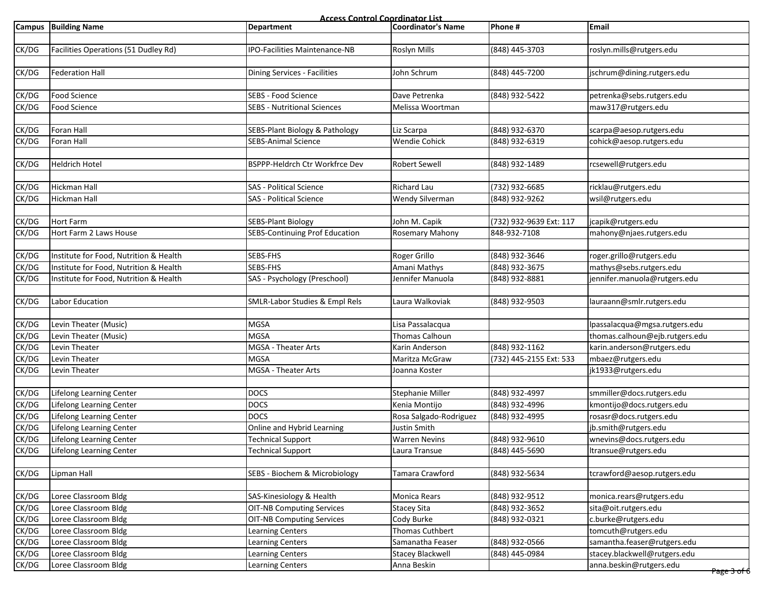**Access Control Coordinator List**

|       | Campus Building Name                   | <b>Department</b>                     | <b>Coordinator's Name</b> | Phone #                 | <b>Email</b>                   |
|-------|----------------------------------------|---------------------------------------|---------------------------|-------------------------|--------------------------------|
|       |                                        |                                       |                           |                         |                                |
| CK/DG | Facilities Operations (51 Dudley Rd)   | IPO-Facilities Maintenance-NB         | Roslyn Mills              | (848) 445-3703          | roslyn.mills@rutgers.edu       |
|       |                                        |                                       |                           |                         |                                |
| CK/DG | <b>Federation Hall</b>                 | Dining Services - Facilities          | John Schrum               | (848) 445-7200          | jschrum@dining.rutgers.edu     |
|       |                                        |                                       |                           |                         |                                |
| CK/DG | <b>Food Science</b>                    | SEBS - Food Science                   | Dave Petrenka             | (848) 932-5422          | petrenka@sebs.rutgers.edu      |
| CK/DG | Food Science                           | <b>SEBS - Nutritional Sciences</b>    | Melissa Woortman          |                         | maw317@rutgers.edu             |
|       |                                        |                                       |                           |                         |                                |
| CK/DG | Foran Hall                             | SEBS-Plant Biology & Pathology        | Liz Scarpa                | (848) 932-6370          | scarpa@aesop.rutgers.edu       |
| CK/DG | Foran Hall                             | <b>SEBS-Animal Science</b>            | <b>Wendie Cohick</b>      | (848) 932-6319          | cohick@aesop.rutgers.edu       |
|       |                                        |                                       |                           |                         |                                |
| CK/DG | <b>Heldrich Hotel</b>                  | BSPPP-Heldrch Ctr Workfrce Dev        | <b>Robert Sewell</b>      | (848) 932-1489          | rcsewell@rutgers.edu           |
|       |                                        |                                       |                           |                         |                                |
| CK/DG | Hickman Hall                           | <b>SAS</b> - Political Science        | <b>Richard Lau</b>        | (732) 932-6685          | ricklau@rutgers.edu            |
| CK/DG | Hickman Hall                           | <b>SAS - Political Science</b>        | Wendy Silverman           | (848) 932-9262          | wsil@rutgers.edu               |
|       |                                        |                                       |                           |                         |                                |
| CK/DG | <b>Hort Farm</b>                       | <b>SEBS-Plant Biology</b>             | John M. Capik             | (732) 932-9639 Ext: 117 | jcapik@rutgers.edu             |
| CK/DG | Hort Farm 2 Laws House                 | <b>SEBS-Continuing Prof Education</b> | Rosemary Mahony           | 848-932-7108            | mahony@njaes.rutgers.edu       |
|       |                                        |                                       |                           |                         |                                |
| CK/DG | Institute for Food, Nutrition & Health | SEBS-FHS                              | Roger Grillo              | (848) 932-3646          | roger.grillo@rutgers.edu       |
| CK/DG | Institute for Food, Nutrition & Health | SEBS-FHS                              | Amani Mathys              | (848) 932-3675          | mathys@sebs.rutgers.edu        |
| CK/DG | Institute for Food, Nutrition & Health | SAS - Psychology (Preschool)          | Jennifer Manuola          | (848) 932-8881          | jennifer.manuola@rutgers.edu   |
|       |                                        |                                       |                           |                         |                                |
| CK/DG | Labor Education                        | SMLR-Labor Studies & Empl Rels        | Laura Walkoviak           | (848) 932-9503          | lauraann@smlr.rutgers.edu      |
|       |                                        |                                       |                           |                         |                                |
| CK/DG | Levin Theater (Music)                  | <b>MGSA</b>                           | Lisa Passalacqua          |                         | lpassalacqua@mgsa.rutgers.edu  |
| CK/DG | Levin Theater (Music)                  | <b>MGSA</b>                           | Thomas Calhoun            |                         | thomas.calhoun@ejb.rutgers.edu |
| CK/DG | Levin Theater                          | MGSA - Theater Arts                   | Karin Anderson            | (848) 932-1162          | karin.anderson@rutgers.edu     |
| CK/DG | Levin Theater                          | <b>MGSA</b>                           | Maritza McGraw            | (732) 445-2155 Ext: 533 | mbaez@rutgers.edu              |
| CK/DG | Levin Theater                          | MGSA - Theater Arts                   | Joanna Koster             |                         | jk1933@rutgers.edu             |
|       |                                        |                                       |                           |                         |                                |
| CK/DG | <b>Lifelong Learning Center</b>        | <b>DOCS</b>                           | <b>Stephanie Miller</b>   | (848) 932-4997          | smmiller@docs.rutgers.edu      |
| CK/DG | Lifelong Learning Center               | <b>DOCS</b>                           | Kenia Montijo             | (848) 932-4996          | kmontijo@docs.rutgers.edu      |
| CK/DG | Lifelong Learning Center               | <b>DOCS</b>                           | Rosa Salgado-Rodriguez    | (848) 932-4995          | rosasr@docs.rutgers.edu        |
| CK/DG | Lifelong Learning Center               | Online and Hybrid Learning            | Justin Smith              |                         | jb.smith@rutgers.edu           |
| CK/DG | Lifelong Learning Center               | <b>Technical Support</b>              | <b>Warren Nevins</b>      | (848) 932-9610          | wnevins@docs.rutgers.edu       |
| CK/DG | Lifelong Learning Center               | <b>Technical Support</b>              | Laura Transue             | (848) 445-5690          | ltransue@rutgers.edu           |
|       |                                        |                                       |                           |                         |                                |
| CK/DG | Lipman Hall                            | SEBS - Biochem & Microbiology         | Tamara Crawford           | (848) 932-5634          | tcrawford@aesop.rutgers.edu    |
|       |                                        |                                       |                           |                         |                                |
| CK/DG | Loree Classroom Bldg                   | SAS-Kinesiology & Health              | Monica Rears              | (848) 932-9512          | monica.rears@rutgers.edu       |
| CK/DG | Loree Classroom Bldg                   | <b>OIT-NB Computing Services</b>      | <b>Stacey Sita</b>        | (848) 932-3652          | sita@oit.rutgers.edu           |
| CK/DG | Loree Classroom Bldg                   | <b>OIT-NB Computing Services</b>      | Cody Burke                | (848) 932-0321          | c.burke@rutgers.edu            |
| CK/DG | Loree Classroom Bldg                   | Learning Centers                      | Thomas Cuthbert           |                         | tomcuth@rutgers.edu            |
| CK/DG | Loree Classroom Bldg                   | <b>Learning Centers</b>               | Samanatha Feaser          | (848) 932-0566          | samantha.feaser@rutgers.edu    |
| CK/DG | Loree Classroom Bldg                   | Learning Centers                      | <b>Stacey Blackwell</b>   | (848) 445-0984          | stacey.blackwell@rutgers.edu   |
| CK/DG | Loree Classroom Bldg                   | Learning Centers                      | Anna Beskin               |                         | anna.beskin@rutgers.edu        |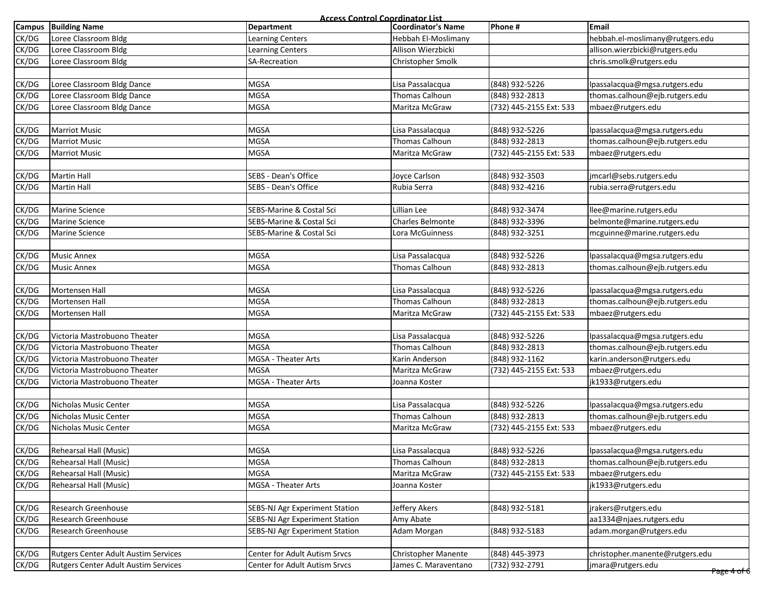|               | <b>Access Control Coordinator List</b>      |                                       |                            |                         |                                 |  |  |
|---------------|---------------------------------------------|---------------------------------------|----------------------------|-------------------------|---------------------------------|--|--|
| <b>Campus</b> | <b>Building Name</b>                        | <b>Department</b>                     | <b>Coordinator's Name</b>  | Phone #                 | <b>Email</b>                    |  |  |
| CK/DG         | Loree Classroom Bldg                        | Learning Centers                      | Hebbah El-Moslimany        |                         | hebbah.el-moslimany@rutgers.edu |  |  |
| CK/DG         | Loree Classroom Bldg                        | <b>Learning Centers</b>               | Allison Wierzbicki         |                         | allison.wierzbicki@rutgers.edu  |  |  |
| CK/DG         | Loree Classroom Bldg                        | <b>SA-Recreation</b>                  | Christopher Smolk          |                         | chris.smolk@rutgers.edu         |  |  |
|               |                                             |                                       |                            |                         |                                 |  |  |
| CK/DG         | Loree Classroom Bldg Dance                  | <b>MGSA</b>                           | Lisa Passalacqua           | (848) 932-5226          | lpassalacqua@mgsa.rutgers.edu   |  |  |
| CK/DG         | Loree Classroom Bldg Dance                  | <b>MGSA</b>                           | Thomas Calhoun             | (848) 932-2813          | thomas.calhoun@ejb.rutgers.edu  |  |  |
| CK/DG         | Loree Classroom Bldg Dance                  | <b>MGSA</b>                           | Maritza McGraw             | (732) 445-2155 Ext: 533 | mbaez@rutgers.edu               |  |  |
|               |                                             |                                       |                            |                         |                                 |  |  |
| CK/DG         | <b>Marriot Music</b>                        | <b>MGSA</b>                           | Lisa Passalacqua           | (848) 932-5226          | lpassalacqua@mgsa.rutgers.edu   |  |  |
| CK/DG         | <b>Marriot Music</b>                        | <b>MGSA</b>                           | Thomas Calhoun             | (848) 932-2813          | thomas.calhoun@ejb.rutgers.edu  |  |  |
| CK/DG         | <b>Marriot Music</b>                        | <b>MGSA</b>                           | Maritza McGraw             | (732) 445-2155 Ext: 533 | mbaez@rutgers.edu               |  |  |
|               |                                             |                                       |                            |                         |                                 |  |  |
| CK/DG         | <b>Martin Hall</b>                          | SEBS - Dean's Office                  | Joyce Carlson              | (848) 932-3503          | jmcarl@sebs.rutgers.edu         |  |  |
| CK/DG         | <b>Martin Hall</b>                          | SEBS - Dean's Office                  | Rubia Serra                | (848) 932-4216          | rubia.serra@rutgers.edu         |  |  |
|               |                                             |                                       |                            |                         |                                 |  |  |
| CK/DG         | <b>Marine Science</b>                       | SEBS-Marine & Costal Sci              | Lillian Lee                | (848) 932-3474          | llee@marine.rutgers.edu         |  |  |
| CK/DG         | <b>Marine Science</b>                       | SEBS-Marine & Costal Sci              | <b>Charles Belmonte</b>    | (848) 932-3396          | belmonte@marine.rutgers.edu     |  |  |
| CK/DG         | <b>Marine Science</b>                       | SEBS-Marine & Costal Sci              | Lora McGuinness            | (848) 932-3251          | mcguinne@marine.rutgers.edu     |  |  |
|               |                                             |                                       |                            |                         |                                 |  |  |
| CK/DG         | <b>Music Annex</b>                          | <b>MGSA</b>                           | Lisa Passalacqua           | (848) 932-5226          | lpassalacqua@mgsa.rutgers.edu   |  |  |
| CK/DG         | <b>Music Annex</b>                          | <b>MGSA</b>                           | Thomas Calhoun             | (848) 932-2813          | thomas.calhoun@ejb.rutgers.edu  |  |  |
|               |                                             |                                       |                            |                         |                                 |  |  |
| CK/DG         | Mortensen Hall                              | <b>MGSA</b>                           | Lisa Passalacqua           | (848) 932-5226          | lpassalacqua@mgsa.rutgers.edu   |  |  |
| CK/DG         | Mortensen Hall                              | <b>MGSA</b>                           | Thomas Calhoun             | (848) 932-2813          | thomas.calhoun@ejb.rutgers.edu  |  |  |
| CK/DG         | Mortensen Hall                              | <b>MGSA</b>                           | Maritza McGraw             | (732) 445-2155 Ext: 533 | mbaez@rutgers.edu               |  |  |
|               |                                             |                                       |                            |                         |                                 |  |  |
| CK/DG         | Victoria Mastrobuono Theater                | <b>MGSA</b>                           | Lisa Passalacqua           | (848) 932-5226          | lpassalacqua@mgsa.rutgers.edu   |  |  |
| CK/DG         | Victoria Mastrobuono Theater                | <b>MGSA</b>                           | Thomas Calhoun             | (848) 932-2813          | thomas.calhoun@ejb.rutgers.edu  |  |  |
| CK/DG         | Victoria Mastrobuono Theater                | MGSA - Theater Arts                   | Karin Anderson             | (848) 932-1162          | karin.anderson@rutgers.edu      |  |  |
| CK/DG         | Victoria Mastrobuono Theater                | <b>MGSA</b>                           | Maritza McGraw             | (732) 445-2155 Ext: 533 | mbaez@rutgers.edu               |  |  |
| CK/DG         | Victoria Mastrobuono Theater                | MGSA - Theater Arts                   | Joanna Koster              |                         | jk1933@rutgers.edu              |  |  |
|               |                                             |                                       |                            |                         |                                 |  |  |
| CK/DG         | Nicholas Music Center                       | <b>MGSA</b>                           | Lisa Passalacqua           | (848) 932-5226          | lpassalacqua@mgsa.rutgers.edu   |  |  |
| CK/DG         | Nicholas Music Center                       | <b>MGSA</b>                           | <b>Thomas Calhoun</b>      | (848) 932-2813          | thomas.calhoun@ejb.rutgers.edu  |  |  |
| CK/DG         | Nicholas Music Center                       | <b>MGSA</b>                           | Maritza McGraw             | (732) 445-2155 Ext: 533 | mbaez@rutgers.edu               |  |  |
|               |                                             |                                       |                            |                         |                                 |  |  |
| CK/DG         | Rehearsal Hall (Music)                      | <b>MGSA</b>                           | Lisa Passalacqua           | (848) 932-5226          | lpassalacqua@mgsa.rutgers.edu   |  |  |
| CK/DG         | Rehearsal Hall (Music)                      | <b>MGSA</b>                           | Thomas Calhoun             | (848) 932-2813          | thomas.calhoun@ejb.rutgers.edu  |  |  |
| CK/DG         | Rehearsal Hall (Music)                      | <b>MGSA</b>                           | Maritza McGraw             | (732) 445-2155 Ext: 533 | mbaez@rutgers.edu               |  |  |
| CK/DG         | Rehearsal Hall (Music)                      | MGSA - Theater Arts                   | Joanna Koster              |                         | jk1933@rutgers.edu              |  |  |
|               |                                             |                                       |                            |                         |                                 |  |  |
| CK/DG         | Research Greenhouse                         | SEBS-NJ Agr Experiment Station        | Jeffery Akers              | (848) 932-5181          | jrakers@rutgers.edu             |  |  |
| CK/DG         | Research Greenhouse                         | <b>SEBS-NJ Agr Experiment Station</b> | Amy Abate                  |                         | aa1334@njaes.rutgers.edu        |  |  |
| CK/DG         | Research Greenhouse                         | <b>SEBS-NJ Agr Experiment Station</b> | Adam Morgan                | (848) 932-5183          | adam.morgan@rutgers.edu         |  |  |
|               |                                             |                                       |                            |                         |                                 |  |  |
| CK/DG         | <b>Rutgers Center Adult Austim Services</b> | <b>Center for Adult Autism Srvcs</b>  | <b>Christopher Manente</b> | (848) 445-3973          | christopher.manente@rutgers.edu |  |  |
| CK/DG         | <b>Rutgers Center Adult Austim Services</b> | Center for Adult Autism Srvcs         | James C. Maraventano       | (732) 932-2791          | jmara@rutgers.edu               |  |  |
|               |                                             |                                       |                            |                         | <del>Page 4 of </del> 6         |  |  |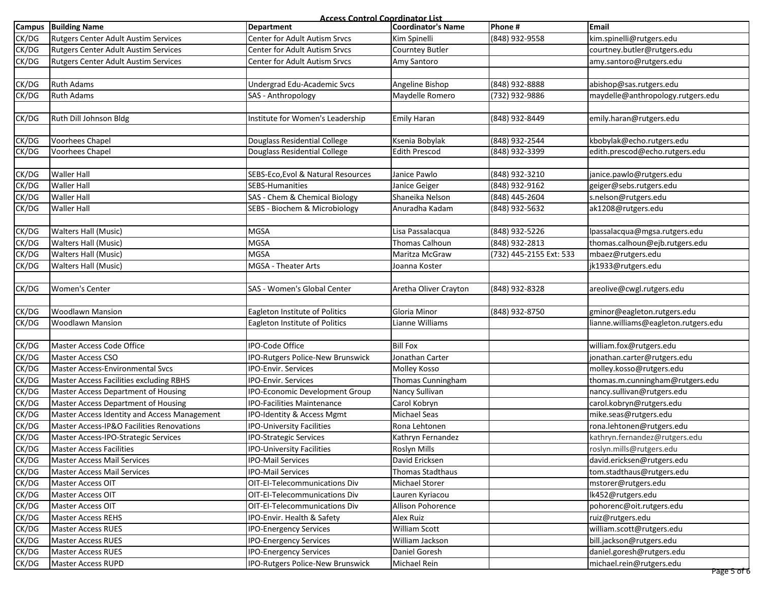| <b>Access Control Coordinator List</b> |                                              |                                    |                       |                         |                                     |  |
|----------------------------------------|----------------------------------------------|------------------------------------|-----------------------|-------------------------|-------------------------------------|--|
| <b>Campus</b>                          | <b>Building Name</b>                         | <b>Department</b>                  | Coordinator's Name    | Phone #                 | <b>Email</b>                        |  |
| CK/DG                                  | <b>Rutgers Center Adult Austim Services</b>  | Center for Adult Autism Srvcs      | Kim Spinelli          | (848) 932-9558          | kim.spinelli@rutgers.edu            |  |
| CK/DG                                  | Rutgers Center Adult Austim Services         | Center for Adult Autism Srvcs      | Courntey Butler       |                         | courtney.butler@rutgers.edu         |  |
| CK/DG                                  | <b>Rutgers Center Adult Austim Services</b>  | Center for Adult Autism Srvcs      | Amy Santoro           |                         | amy.santoro@rutgers.edu             |  |
|                                        |                                              |                                    |                       |                         |                                     |  |
| CK/DG                                  | <b>Ruth Adams</b>                            | Undergrad Edu-Academic Svcs        | Angeline Bishop       | (848) 932-8888          | abishop@sas.rutgers.edu             |  |
| CK/DG                                  | <b>Ruth Adams</b>                            | SAS - Anthropology                 | Maydelle Romero       | (732) 932-9886          | maydelle@anthropology.rutgers.edu   |  |
|                                        |                                              |                                    |                       |                         |                                     |  |
| CK/DG                                  | Ruth Dill Johnson Bldg                       | Institute for Women's Leadership   | <b>Emily Haran</b>    | (848) 932-8449          | emily.haran@rutgers.edu             |  |
|                                        |                                              |                                    |                       |                         |                                     |  |
| CK/DG                                  | Voorhees Chapel                              | Douglass Residential College       | Ksenia Bobylak        | (848) 932-2544          | kbobylak@echo.rutgers.edu           |  |
| CK/DG                                  | Voorhees Chapel                              | Douglass Residential College       | <b>Edith Prescod</b>  | (848) 932-3399          | edith.prescod@echo.rutgers.edu      |  |
|                                        |                                              |                                    |                       |                         |                                     |  |
| CK/DG                                  | <b>Waller Hall</b>                           | SEBS-Eco, Evol & Natural Resources | Janice Pawlo          | (848) 932-3210          | janice.pawlo@rutgers.edu            |  |
| CK/DG                                  | <b>Waller Hall</b>                           | SEBS-Humanities                    | Janice Geiger         | (848) 932-9162          | geiger@sebs.rutgers.edu             |  |
| CK/DG                                  | <b>Waller Hall</b>                           | SAS - Chem & Chemical Biology      | Shaneika Nelson       | (848) 445-2604          | s.nelson@rutgers.edu                |  |
| CK/DG                                  | <b>Waller Hall</b>                           | SEBS - Biochem & Microbiology      | Anuradha Kadam        | (848) 932-5632          | ak1208@rutgers.edu                  |  |
|                                        |                                              |                                    |                       |                         |                                     |  |
| CK/DG                                  | <b>Walters Hall (Music)</b>                  | <b>MGSA</b>                        | Lisa Passalacqua      | (848) 932-5226          | lpassalacqua@mgsa.rutgers.edu       |  |
| CK/DG                                  | <b>Walters Hall (Music)</b>                  | <b>MGSA</b>                        | Thomas Calhoun        | (848) 932-2813          | thomas.calhoun@ejb.rutgers.edu      |  |
| CK/DG                                  | <b>Walters Hall (Music)</b>                  | <b>MGSA</b>                        | Maritza McGraw        | (732) 445-2155 Ext: 533 | mbaez@rutgers.edu                   |  |
| CK/DG                                  | <b>Walters Hall (Music)</b>                  | MGSA - Theater Arts                | Joanna Koster         |                         | jk1933@rutgers.edu                  |  |
|                                        |                                              |                                    |                       |                         |                                     |  |
| CK/DG                                  | <b>Women's Center</b>                        | SAS - Women's Global Center        | Aretha Oliver Crayton | (848) 932-8328          | areolive@cwgl.rutgers.edu           |  |
|                                        |                                              |                                    |                       |                         |                                     |  |
| CK/DG                                  | <b>Woodlawn Mansion</b>                      | Eagleton Institute of Politics     | Gloria Minor          | (848) 932-8750          | gminor@eagleton.rutgers.edu         |  |
| CK/DG                                  | <b>Woodlawn Mansion</b>                      | Eagleton Institute of Politics     | Lianne Williams       |                         | ianne.williams@eagleton.rutgers.edu |  |
|                                        |                                              |                                    |                       |                         |                                     |  |
| CK/DG                                  | Master Access Code Office                    | IPO-Code Office                    | <b>Bill Fox</b>       |                         | william.fox@rutgers.edu             |  |
| CK/DG                                  | <b>Master Access CSO</b>                     | IPO-Rutgers Police-New Brunswick   | Jonathan Carter       |                         | jonathan.carter@rutgers.edu         |  |
| CK/DG                                  | Master Access-Environmental Svcs             | <b>IPO-Envir. Services</b>         | Molley Kosso          |                         | molley.kosso@rutgers.edu            |  |
| CK/DG                                  | Master Access Facilities excluding RBHS      | IPO-Envir. Services                | Thomas Cunningham     |                         | thomas.m.cunningham@rutgers.edu     |  |
| CK/DG                                  | Master Access Department of Housing          | IPO-Economic Development Group     | Nancy Sullivan        |                         | nancy.sullivan@rutgers.edu          |  |
| CK/DG                                  | Master Access Department of Housing          | <b>IPO-Facilities Maintenance</b>  | Carol Kobryn          |                         | carol.kobryn@rutgers.edu            |  |
| CK/DG                                  | Master Access Identity and Access Management | IPO-Identity & Access Mgmt         | Michael Seas          |                         | mike.seas@rutgers.edu               |  |
| CK/DG                                  | Master Access-IP&O Facilities Renovations    | <b>IPO-University Facilities</b>   | Rona Lehtonen         |                         | rona.lehtonen@rutgers.edu           |  |
| CK/DG                                  | Master Access-IPO-Strategic Services         | <b>IPO-Strategic Services</b>      | Kathryn Fernandez     |                         | kathryn.fernandez@rutgers.edu       |  |
| CK/DG                                  | <b>Master Access Facilities</b>              | IPO-University Facilities          | Roslyn Mills          |                         | roslyn.mills@rutgers.edu            |  |
| CK/DG                                  | <b>Master Access Mail Services</b>           | <b>IPO-Mail Services</b>           | David Ericksen        |                         | david.ericksen@rutgers.edu          |  |
| CK/DG                                  | <b>Master Access Mail Services</b>           | <b>IPO-Mail Services</b>           | Thomas Stadthaus      |                         | tom.stadthaus@rutgers.edu           |  |
| CK/DG                                  | Master Access OIT                            | OIT-EI-Telecommunications Div      | Michael Storer        |                         | mstorer@rutgers.edu                 |  |
| CK/DG                                  | Master Access OIT                            | OIT-EI-Telecommunications Div      | Lauren Kyriacou       |                         | lk452@rutgers.edu                   |  |
| CK/DG                                  | Master Access OIT                            | OIT-EI-Telecommunications Div      | Allison Pohorence     |                         | pohorenc@oit.rutgers.edu            |  |
| CK/DG                                  | Master Access REHS                           | IPO-Envir. Health & Safety         | <b>Alex Ruiz</b>      |                         | ruiz@rutgers.edu                    |  |
| CK/DG                                  | <b>Master Access RUES</b>                    | <b>IPO-Energency Services</b>      | <b>William Scott</b>  |                         | william.scott@rutgers.edu           |  |
| CK/DG                                  | <b>Master Access RUES</b>                    | <b>IPO-Energency Services</b>      | William Jackson       |                         | bill.jackson@rutgers.edu            |  |
| CK/DG                                  | <b>Master Access RUES</b>                    | <b>IPO-Energency Services</b>      | Daniel Goresh         |                         | daniel.goresh@rutgers.edu           |  |
| CK/DG                                  | Master Access RUPD                           | IPO-Rutgers Police-New Brunswick   | Michael Rein          |                         | michael.rein@rutgers.edu            |  |